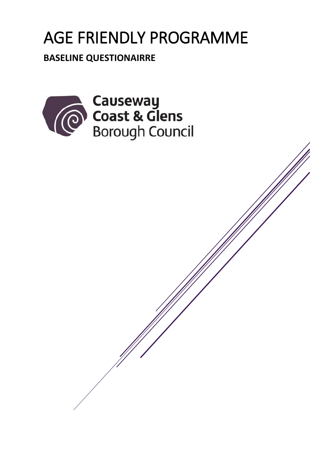# AGE FRIENDLY PROGRAMME

**BASELINE QUESTIONAIRRE**

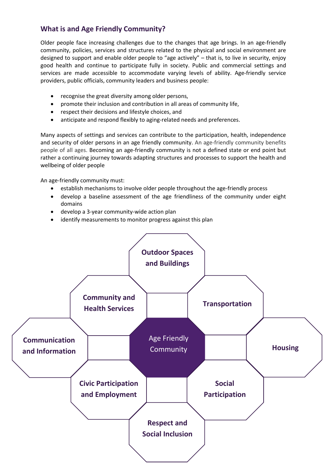## **What is and Age Friendly Community?**

Older people face increasing challenges due to the changes that age brings. In an age-friendly community, policies, services and structures related to the physical and social environment are designed to support and enable older people to "age actively" – that is, to live in security, enjoy good health and continue to participate fully in society. Public and commercial settings and services are made accessible to accommodate varying levels of ability. Age-friendly service providers, public officials, community leaders and business people:

- recognise the great diversity among older persons,
- promote their inclusion and contribution in all areas of community life,
- respect their decisions and lifestyle choices, and
- anticipate and respond flexibly to aging-related needs and preferences.

Many aspects of settings and services can contribute to the participation, health, independence and security of older persons in an age friendly community. An age-friendly community benefits people of all ages. Becoming an age-friendly community is not a defined state or end point but rather a continuing journey towards adapting structures and processes to support the health and wellbeing of older people

An age-friendly community must:

- establish mechanisms to involve older people throughout the age-friendly process
- develop a baseline assessment of the age friendliness of the community under eight domains
- develop a 3-year community-wide action plan
- identify measurements to monitor progress against this plan

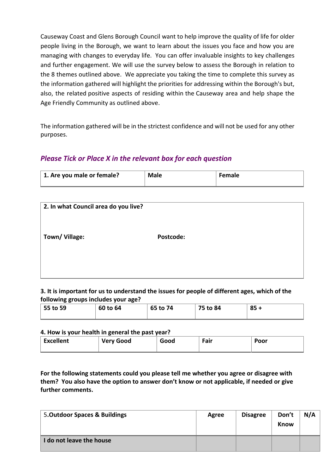Causeway Coast and Glens Borough Council want to help improve the quality of life for older people living in the Borough, we want to learn about the issues you face and how you are managing with changes to everyday life. You can offer invaluable insights to key challenges and further engagement. We will use the survey below to assess the Borough in relation to the 8 themes outlined above. We appreciate you taking the time to complete this survey as the information gathered will highlight the priorities for addressing within the Borough's but, also, the related positive aspects of residing within the Causeway area and help shape the Age Friendly Community as outlined above.

The information gathered will be in the strictest confidence and will not be used for any other purposes.

# *Please Tick or Place X in the relevant box for each question*

| 1. Are you male or female? | Male | Female |
|----------------------------|------|--------|
|                            |      |        |

| 2. In what Council area do you live? |           |  |
|--------------------------------------|-----------|--|
| Town/Village:                        | Postcode: |  |
|                                      |           |  |
|                                      |           |  |

**3. It is important for us to understand the issues for people of different ages, which of the following groups includes your age?**

| --<br>55 to 59 | 60 to 64 | 65 to 74 | 75 to 84 | 85 |
|----------------|----------|----------|----------|----|
|                |          |          |          |    |

#### **4. How is your health in general the past year?**

| <b>Excellent</b> | <b>Very Good</b> | Good | ⊏air | Poor |
|------------------|------------------|------|------|------|
|                  |                  |      |      |      |

**For the following statements could you please tell me whether you agree or disagree with them? You also have the option to answer don't know or not applicable, if needed or give further comments.** 

| 5. Outdoor Spaces & Buildings | Agree | <b>Disagree</b> | Don't<br><b>Know</b> | N/A |
|-------------------------------|-------|-----------------|----------------------|-----|
| I do not leave the house      |       |                 |                      |     |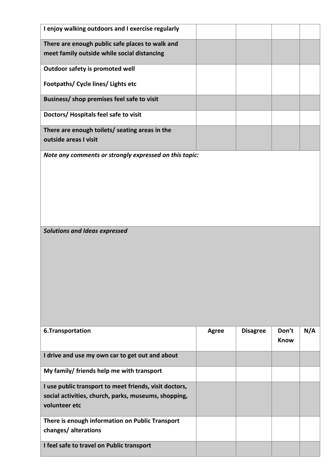| I enjoy walking outdoors and I exercise regularly                                                                               |              |                 |                      |     |
|---------------------------------------------------------------------------------------------------------------------------------|--------------|-----------------|----------------------|-----|
| There are enough public safe places to walk and<br>meet family outside while social distancing                                  |              |                 |                      |     |
| Outdoor safety is promoted well                                                                                                 |              |                 |                      |     |
| Footpaths/ Cycle lines/ Lights etc                                                                                              |              |                 |                      |     |
| Business/ shop premises feel safe to visit                                                                                      |              |                 |                      |     |
| Doctors/Hospitals feel safe to visit                                                                                            |              |                 |                      |     |
| There are enough toilets/ seating areas in the<br>outside areas I visit                                                         |              |                 |                      |     |
| Note any comments or strongly expressed on this topic:                                                                          |              |                 |                      |     |
|                                                                                                                                 |              |                 |                      |     |
|                                                                                                                                 |              |                 |                      |     |
| <b>Solutions and Ideas expressed</b>                                                                                            |              |                 |                      |     |
| 6.Transportation                                                                                                                | <b>Agree</b> | <b>Disagree</b> | Don't<br><b>Know</b> | N/A |
| I drive and use my own car to get out and about                                                                                 |              |                 |                      |     |
| My family/ friends help me with transport                                                                                       |              |                 |                      |     |
| I use public transport to meet friends, visit doctors,<br>social activities, church, parks, museums, shopping,<br>volunteer etc |              |                 |                      |     |
| There is enough information on Public Transport<br>changes/ alterations                                                         |              |                 |                      |     |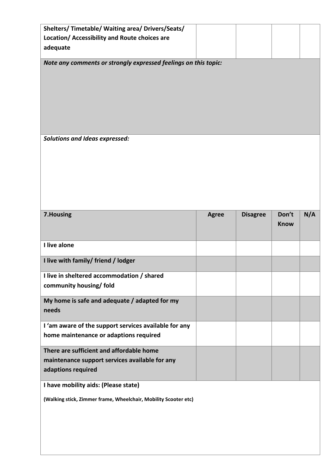| Shelters/Timetable/Waiting area/Drivers/Seats/                                                  |              |                 |             |     |
|-------------------------------------------------------------------------------------------------|--------------|-----------------|-------------|-----|
| Location/ Accessibility and Route choices are                                                   |              |                 |             |     |
| adequate                                                                                        |              |                 |             |     |
| Note any comments or strongly expressed feelings on this topic:                                 |              |                 |             |     |
| <b>Solutions and Ideas expressed:</b>                                                           |              |                 |             |     |
|                                                                                                 |              |                 |             |     |
|                                                                                                 |              |                 |             |     |
| 7. Housing                                                                                      | <b>Agree</b> | <b>Disagree</b> | Don't       | N/A |
|                                                                                                 |              |                 | <b>Know</b> |     |
| I live alone                                                                                    |              |                 |             |     |
| I live with family/ friend / lodger                                                             |              |                 |             |     |
| I live in sheltered accommodation / shared<br>community housing/ fold                           |              |                 |             |     |
| My home is safe and adequate / adapted for my<br>needs                                          |              |                 |             |     |
| I 'am aware of the support services available for any<br>home maintenance or adaptions required |              |                 |             |     |
| There are sufficient and affordable home<br>maintenance support services available for any      |              |                 |             |     |
| adaptions required                                                                              |              |                 |             |     |
| I have mobility aids: (Please state)                                                            |              |                 |             |     |
| (Walking stick, Zimmer frame, Wheelchair, Mobility Scooter etc)                                 |              |                 |             |     |
|                                                                                                 |              |                 |             |     |
|                                                                                                 |              |                 |             |     |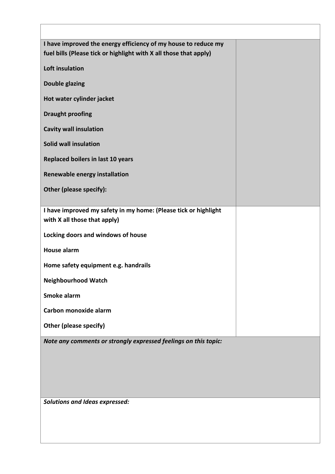| I have improved the energy efficiency of my house to reduce my                                  |
|-------------------------------------------------------------------------------------------------|
| fuel bills (Please tick or highlight with X all those that apply)                               |
| Loft insulation                                                                                 |
| <b>Double glazing</b>                                                                           |
| Hot water cylinder jacket                                                                       |
| <b>Draught proofing</b>                                                                         |
| <b>Cavity wall insulation</b>                                                                   |
| <b>Solid wall insulation</b>                                                                    |
| Replaced boilers in last 10 years                                                               |
| Renewable energy installation                                                                   |
| Other (please specify):                                                                         |
|                                                                                                 |
| I have improved my safety in my home: (Please tick or highlight<br>with X all those that apply) |
| Locking doors and windows of house                                                              |
| <b>House alarm</b>                                                                              |
| Home safety equipment e.g. handrails                                                            |
| <b>Neighbourhood Watch</b>                                                                      |
| <b>Smoke alarm</b>                                                                              |
| Carbon monoxide alarm                                                                           |
| <b>Other (please specify)</b>                                                                   |
| Note any comments or strongly expressed feelings on this topic:                                 |
|                                                                                                 |
|                                                                                                 |
|                                                                                                 |
| <b>Solutions and Ideas expressed:</b>                                                           |
|                                                                                                 |
|                                                                                                 |
|                                                                                                 |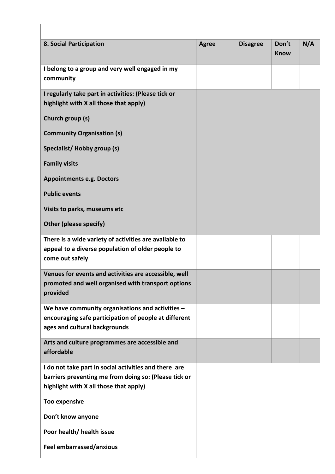| 8. Social Participation                                                                                        | <b>Agree</b> | <b>Disagree</b> | Don't<br><b>Know</b> | N/A |
|----------------------------------------------------------------------------------------------------------------|--------------|-----------------|----------------------|-----|
| I belong to a group and very well engaged in my<br>community                                                   |              |                 |                      |     |
| I regularly take part in activities: (Please tick or<br>highlight with X all those that apply)                 |              |                 |                      |     |
| Church group (s)                                                                                               |              |                 |                      |     |
| <b>Community Organisation (s)</b>                                                                              |              |                 |                      |     |
| Specialist/Hobby group (s)                                                                                     |              |                 |                      |     |
| <b>Family visits</b>                                                                                           |              |                 |                      |     |
| <b>Appointments e.g. Doctors</b>                                                                               |              |                 |                      |     |
| <b>Public events</b>                                                                                           |              |                 |                      |     |
| Visits to parks, museums etc                                                                                   |              |                 |                      |     |
| <b>Other (please specify)</b>                                                                                  |              |                 |                      |     |
| There is a wide variety of activities are available to                                                         |              |                 |                      |     |
| appeal to a diverse population of older people to<br>come out safely                                           |              |                 |                      |     |
| Venues for events and activities are accessible, well                                                          |              |                 |                      |     |
| promoted and well organised with transport options<br>provided                                                 |              |                 |                      |     |
| We have community organisations and activities -<br>encouraging safe participation of people at different      |              |                 |                      |     |
| ages and cultural backgrounds                                                                                  |              |                 |                      |     |
| Arts and culture programmes are accessible and<br>affordable                                                   |              |                 |                      |     |
| I do not take part in social activities and there are<br>barriers preventing me from doing so: (Please tick or |              |                 |                      |     |
| highlight with X all those that apply)                                                                         |              |                 |                      |     |
| <b>Too expensive</b>                                                                                           |              |                 |                      |     |
| Don't know anyone                                                                                              |              |                 |                      |     |
| Poor health/ health issue                                                                                      |              |                 |                      |     |
| Feel embarrassed/anxious                                                                                       |              |                 |                      |     |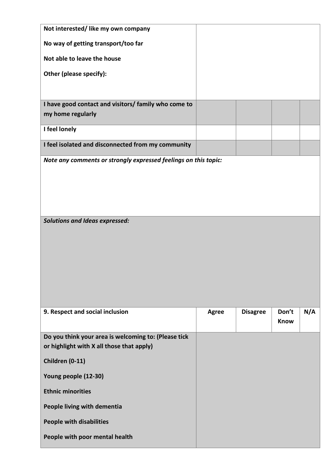| Not interested/ like my own company                                       |              |                 |                      |     |
|---------------------------------------------------------------------------|--------------|-----------------|----------------------|-----|
| No way of getting transport/too far                                       |              |                 |                      |     |
| Not able to leave the house                                               |              |                 |                      |     |
| Other (please specify):                                                   |              |                 |                      |     |
|                                                                           |              |                 |                      |     |
| I have good contact and visitors/ family who come to<br>my home regularly |              |                 |                      |     |
| I feel lonely                                                             |              |                 |                      |     |
| I feel isolated and disconnected from my community                        |              |                 |                      |     |
| Note any comments or strongly expressed feelings on this topic:           |              |                 |                      |     |
|                                                                           |              |                 |                      |     |
|                                                                           |              |                 |                      |     |
|                                                                           |              |                 |                      |     |
| <b>Solutions and Ideas expressed:</b>                                     |              |                 |                      |     |
|                                                                           |              |                 |                      |     |
|                                                                           |              |                 |                      |     |
|                                                                           |              |                 |                      |     |
|                                                                           |              |                 |                      |     |
|                                                                           |              |                 |                      |     |
| 9. Respect and social inclusion                                           | <b>Agree</b> | <b>Disagree</b> | Don't<br><b>Know</b> | N/A |
| Do you think your area is welcoming to: (Please tick                      |              |                 |                      |     |
| or highlight with X all those that apply)                                 |              |                 |                      |     |
| Children (0-11)                                                           |              |                 |                      |     |
|                                                                           |              |                 |                      |     |
| Young people (12-30)                                                      |              |                 |                      |     |
| <b>Ethnic minorities</b>                                                  |              |                 |                      |     |
| People living with dementia                                               |              |                 |                      |     |
| <b>People with disabilities</b>                                           |              |                 |                      |     |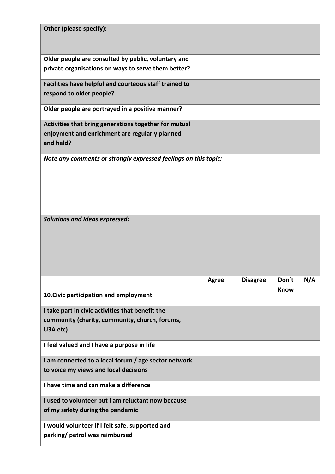| Other (please specify):                                                                                              |              |                 |             |     |
|----------------------------------------------------------------------------------------------------------------------|--------------|-----------------|-------------|-----|
| Older people are consulted by public, voluntary and<br>private organisations on ways to serve them better?           |              |                 |             |     |
| Facilities have helpful and courteous staff trained to                                                               |              |                 |             |     |
| respond to older people?                                                                                             |              |                 |             |     |
| Older people are portrayed in a positive manner?                                                                     |              |                 |             |     |
| Activities that bring generations together for mutual<br>enjoyment and enrichment are regularly planned<br>and held? |              |                 |             |     |
| Note any comments or strongly expressed feelings on this topic:                                                      |              |                 |             |     |
|                                                                                                                      |              |                 |             |     |
| <b>Solutions and Ideas expressed:</b>                                                                                |              |                 |             |     |
|                                                                                                                      | <b>Agree</b> | <b>Disagree</b> | Don't       | N/A |
| 10. Civic participation and employment                                                                               |              |                 | <b>Know</b> |     |
| I take part in civic activities that benefit the<br>community (charity, community, church, forums,<br>U3A etc)       |              |                 |             |     |
| I feel valued and I have a purpose in life                                                                           |              |                 |             |     |
| I am connected to a local forum / age sector network<br>to voice my views and local decisions                        |              |                 |             |     |
| I have time and can make a difference                                                                                |              |                 |             |     |
| I used to volunteer but I am reluctant now because<br>of my safety during the pandemic                               |              |                 |             |     |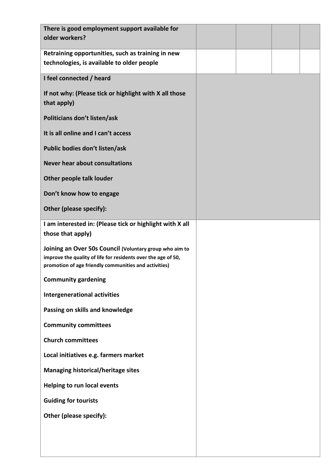| There is good employment support available for<br>older workers?                                                                                                                  |  |  |
|-----------------------------------------------------------------------------------------------------------------------------------------------------------------------------------|--|--|
| Retraining opportunities, such as training in new<br>technologies, is available to older people                                                                                   |  |  |
| I feel connected / heard                                                                                                                                                          |  |  |
| If not why: (Please tick or highlight with X all those<br>that apply)                                                                                                             |  |  |
| Politicians don't listen/ask                                                                                                                                                      |  |  |
| It is all online and I can't access                                                                                                                                               |  |  |
| Public bodies don't listen/ask                                                                                                                                                    |  |  |
| <b>Never hear about consultations</b>                                                                                                                                             |  |  |
| Other people talk louder                                                                                                                                                          |  |  |
| Don't know how to engage                                                                                                                                                          |  |  |
| <b>Other (please specify):</b>                                                                                                                                                    |  |  |
| I am interested in: (Please tick or highlight with X all<br>those that apply)                                                                                                     |  |  |
| Joining an Over 50s Council (Voluntary group who aim to<br>improve the quality of life for residents over the age of 50,<br>promotion of age friendly communities and activities) |  |  |
| <b>Community gardening</b>                                                                                                                                                        |  |  |
| <b>Intergenerational activities</b>                                                                                                                                               |  |  |
| Passing on skills and knowledge                                                                                                                                                   |  |  |
| <b>Community committees</b>                                                                                                                                                       |  |  |
| <b>Church committees</b>                                                                                                                                                          |  |  |
| Local initiatives e.g. farmers market                                                                                                                                             |  |  |
| <b>Managing historical/heritage sites</b>                                                                                                                                         |  |  |
| <b>Helping to run local events</b>                                                                                                                                                |  |  |
| <b>Guiding for tourists</b>                                                                                                                                                       |  |  |
| Other (please specify):                                                                                                                                                           |  |  |
|                                                                                                                                                                                   |  |  |
|                                                                                                                                                                                   |  |  |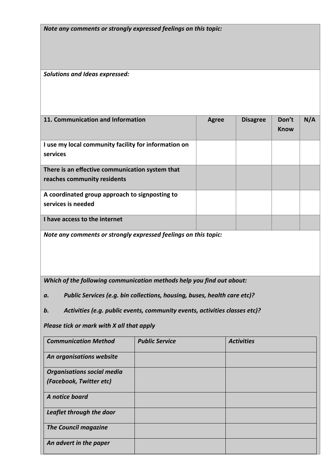*Note any comments or strongly expressed feelings on this topic:*

*Solutions and Ideas expressed:*

| 11. Communication and Information                                                | <b>Agree</b>                                                             | <b>Disagree</b> | Don't<br>Know | N/A |  |  |
|----------------------------------------------------------------------------------|--------------------------------------------------------------------------|-----------------|---------------|-----|--|--|
| I use my local community facility for information on<br>services                 |                                                                          |                 |               |     |  |  |
| There is an effective communication system that<br>reaches community residents   |                                                                          |                 |               |     |  |  |
| A coordinated group approach to signposting to<br>services is needed             |                                                                          |                 |               |     |  |  |
| I have access to the internet                                                    |                                                                          |                 |               |     |  |  |
| Note any comments or strongly expressed feelings on this topic:                  |                                                                          |                 |               |     |  |  |
| Which of the following communication methods help you find out about:            |                                                                          |                 |               |     |  |  |
| а.                                                                               | Public Services (e.g. bin collections, housing, buses, health care etc)? |                 |               |     |  |  |
| b.<br>Activities (e.g. public events, community events, activities classes etc)? |                                                                          |                 |               |     |  |  |

*Please tick or mark with X all that apply*

| <b>Communication Method</b>       | <b>Public Service</b> | <b>Activities</b> |
|-----------------------------------|-----------------------|-------------------|
| An organisations website          |                       |                   |
| <b>Organisations social media</b> |                       |                   |
| (Facebook, Twitter etc)           |                       |                   |
| A notice board                    |                       |                   |
| Leaflet through the door          |                       |                   |
| <b>The Council magazine</b>       |                       |                   |
| An advert in the paper            |                       |                   |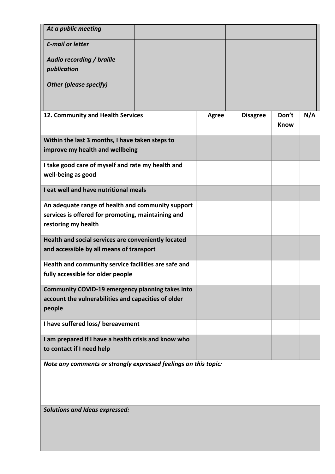| At a public meeting                                             |  |              |                 |             |     |
|-----------------------------------------------------------------|--|--------------|-----------------|-------------|-----|
| <b>E-mail or letter</b>                                         |  |              |                 |             |     |
| Audio recording / braille                                       |  |              |                 |             |     |
| publication                                                     |  |              |                 |             |     |
|                                                                 |  |              |                 |             |     |
| <b>Other (please specify)</b>                                   |  |              |                 |             |     |
|                                                                 |  |              |                 |             |     |
| 12. Community and Health Services                               |  | <b>Agree</b> | <b>Disagree</b> | Don't       | N/A |
|                                                                 |  |              |                 | <b>Know</b> |     |
|                                                                 |  |              |                 |             |     |
| Within the last 3 months, I have taken steps to                 |  |              |                 |             |     |
| improve my health and wellbeing                                 |  |              |                 |             |     |
| I take good care of myself and rate my health and               |  |              |                 |             |     |
| well-being as good                                              |  |              |                 |             |     |
| I eat well and have nutritional meals                           |  |              |                 |             |     |
|                                                                 |  |              |                 |             |     |
| An adequate range of health and community support               |  |              |                 |             |     |
| services is offered for promoting, maintaining and              |  |              |                 |             |     |
| restoring my health                                             |  |              |                 |             |     |
| Health and social services are conveniently located             |  |              |                 |             |     |
| and accessible by all means of transport                        |  |              |                 |             |     |
|                                                                 |  |              |                 |             |     |
| Health and community service facilities are safe and            |  |              |                 |             |     |
| fully accessible for older people                               |  |              |                 |             |     |
| Community COVID-19 emergency planning takes into                |  |              |                 |             |     |
| account the vulnerabilities and capacities of older             |  |              |                 |             |     |
| people                                                          |  |              |                 |             |     |
| I have suffered loss/ bereavement                               |  |              |                 |             |     |
|                                                                 |  |              |                 |             |     |
| I am prepared if I have a health crisis and know who            |  |              |                 |             |     |
| to contact if I need help                                       |  |              |                 |             |     |
| Note any comments or strongly expressed feelings on this topic: |  |              |                 |             |     |
|                                                                 |  |              |                 |             |     |
|                                                                 |  |              |                 |             |     |
|                                                                 |  |              |                 |             |     |
|                                                                 |  |              |                 |             |     |

*Solutions and Ideas expressed:*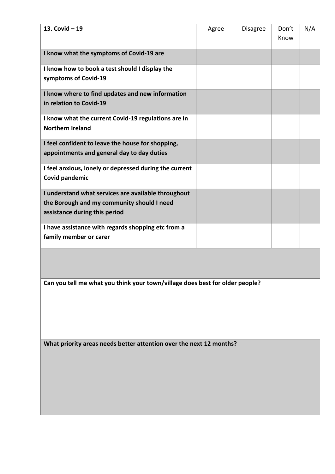| 13. Covid - 19                                                                                                                     | Agree | <b>Disagree</b> | Don't<br>Know | N/A |  |
|------------------------------------------------------------------------------------------------------------------------------------|-------|-----------------|---------------|-----|--|
| I know what the symptoms of Covid-19 are                                                                                           |       |                 |               |     |  |
| I know how to book a test should I display the<br>symptoms of Covid-19                                                             |       |                 |               |     |  |
| I know where to find updates and new information<br>in relation to Covid-19                                                        |       |                 |               |     |  |
| I know what the current Covid-19 regulations are in<br><b>Northern Ireland</b>                                                     |       |                 |               |     |  |
| I feel confident to leave the house for shopping,<br>appointments and general day to day duties                                    |       |                 |               |     |  |
| I feel anxious, lonely or depressed during the current<br><b>Covid pandemic</b>                                                    |       |                 |               |     |  |
| I understand what services are available throughout<br>the Borough and my community should I need<br>assistance during this period |       |                 |               |     |  |
| I have assistance with regards shopping etc from a<br>family member or carer                                                       |       |                 |               |     |  |
|                                                                                                                                    |       |                 |               |     |  |
| Can you tell me what you think your town/village does best for older people?                                                       |       |                 |               |     |  |
|                                                                                                                                    |       |                 |               |     |  |
| What priority areas needs better attention over the next 12 months?                                                                |       |                 |               |     |  |
|                                                                                                                                    |       |                 |               |     |  |
|                                                                                                                                    |       |                 |               |     |  |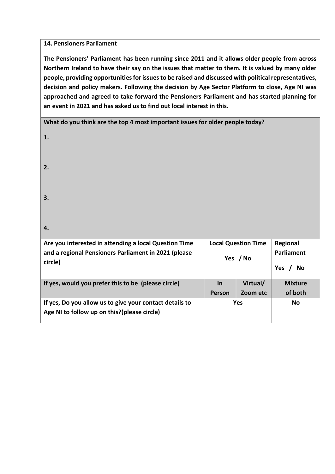### **14. Pensioners Parliament**

**The Pensioners' Parliament has been running since 2011 and it allows older people from across Northern Ireland to have their say on the issues that matter to them. It is valued by many older people, providing opportunities for issues to be raised and discussed with political representatives, decision and policy makers. Following the decision by Age Sector Platform to close, Age NI was approached and agreed to take forward the Pensioners Parliament and has started planning for an event in 2021 and has asked us to find out local interest in this.** 

| What do you think are the top 4 most important issues for older people today? |                            |          |                      |
|-------------------------------------------------------------------------------|----------------------------|----------|----------------------|
| 1.                                                                            |                            |          |                      |
| 2.                                                                            |                            |          |                      |
| 3.                                                                            |                            |          |                      |
| 4.                                                                            |                            |          |                      |
| Are you interested in attending a local Question Time                         | <b>Local Question Time</b> | Regional |                      |
| and a regional Pensioners Parliament in 2021 (please                          | Yes / No                   |          | Parliament           |
| circle)                                                                       |                            |          | Yes $/$<br><b>No</b> |
| If yes, would you prefer this to be (please circle)                           | In                         | Virtual/ | <b>Mixture</b>       |
|                                                                               | Person                     | Zoom etc | of both              |
| If yes, Do you allow us to give your contact details to                       | <b>Yes</b>                 |          | <b>No</b>            |
| Age NI to follow up on this?(please circle)                                   |                            |          |                      |